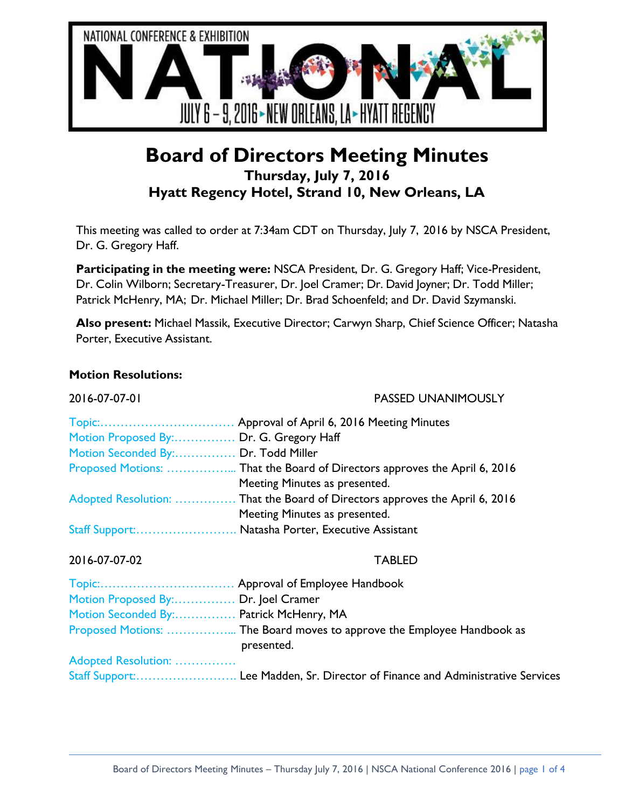

# **Board of Directors Meeting Minutes Thursday, July 7, 2016 Hyatt Regency Hotel, Strand 10, New Orleans, LA**

This meeting was called to order at 7:34am CDT on Thursday, July 7, 2016 by NSCA President, Dr. G. Gregory Haff.

**Participating in the meeting were:** NSCA President, Dr. G. Gregory Haff; Vice-President, Dr. Colin Wilborn; Secretary-Treasurer, Dr. Joel Cramer; Dr. David Joyner; Dr. Todd Miller; Patrick McHenry, MA; Dr. Michael Miller; Dr. Brad Schoenfeld; and Dr. David Szymanski.

**Also present:** Michael Massik, Executive Director; Carwyn Sharp, Chief Science Officer; Natasha Porter, Executive Assistant.

### **Motion Resolutions:**

| 2016-07-07-01                           | <b>PASSED UNANIMOUSLY</b>                                                            |
|-----------------------------------------|--------------------------------------------------------------------------------------|
|                                         |                                                                                      |
| Motion Proposed By: Dr. G. Gregory Haff |                                                                                      |
| Motion Seconded By: Dr. Todd Miller     |                                                                                      |
|                                         |                                                                                      |
|                                         | Meeting Minutes as presented.                                                        |
|                                         | Adopted Resolution:  That the Board of Directors approves the April 6, 2016          |
|                                         | Meeting Minutes as presented.                                                        |
|                                         | Staff Support: Natasha Porter, Executive Assistant                                   |
| 2016-07-07-02                           | <b>TABLED</b>                                                                        |
|                                         |                                                                                      |
| Motion Proposed By: Dr. Joel Cramer     |                                                                                      |
| Motion Seconded By: Patrick McHenry, MA |                                                                                      |
|                                         | Proposed Motions:  The Board moves to approve the Employee Handbook as<br>presented. |
| Adopted Resolution:                     |                                                                                      |
|                                         |                                                                                      |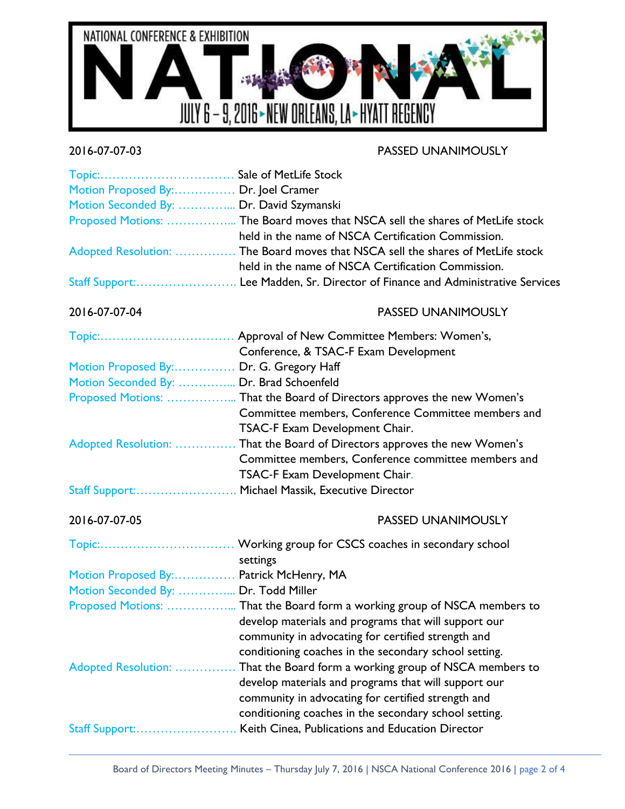

# 2016-07-07-03 PASSED UNANIMOUSLY

| Motion Proposed By: Dr. Joel Cramer<br>Motion Seconded By:  Dr. David Szymanski | Proposed Motions:  The Board moves that NSCA sell the shares of MetLife stock<br>held in the name of NSCA Certification Commission.<br>Adopted Resolution:  The Board moves that NSCA sell the shares of MetLife stock<br>held in the name of NSCA Certification Commission. |
|---------------------------------------------------------------------------------|------------------------------------------------------------------------------------------------------------------------------------------------------------------------------------------------------------------------------------------------------------------------------|
|                                                                                 |                                                                                                                                                                                                                                                                              |
| 2016-07-07-04                                                                   | <b>PASSED UNANIMOUSLY</b>                                                                                                                                                                                                                                                    |
|                                                                                 | Conference, & TSAC-F Exam Development                                                                                                                                                                                                                                        |
| Motion Proposed By: Dr. G. Gregory Haff                                         |                                                                                                                                                                                                                                                                              |
| Motion Seconded By:  Dr. Brad Schoenfeld                                        |                                                                                                                                                                                                                                                                              |
|                                                                                 | Proposed Motions:  That the Board of Directors approves the new Women's                                                                                                                                                                                                      |
|                                                                                 | Committee members, Conference Committee members and                                                                                                                                                                                                                          |
|                                                                                 | TSAC-F Exam Development Chair.                                                                                                                                                                                                                                               |
| Adopted Resolution:                                                             | That the Board of Directors approves the new Women's<br>Committee members, Conference committee members and                                                                                                                                                                  |
|                                                                                 | TSAC-F Exam Development Chair.                                                                                                                                                                                                                                               |
|                                                                                 | Staff Support: Michael Massik, Executive Director                                                                                                                                                                                                                            |
|                                                                                 |                                                                                                                                                                                                                                                                              |
| 2016-07-07-05                                                                   | <b>PASSED UNANIMOUSLY</b>                                                                                                                                                                                                                                                    |
|                                                                                 |                                                                                                                                                                                                                                                                              |
|                                                                                 | settings                                                                                                                                                                                                                                                                     |
| Motion Proposed By: Patrick McHenry, MA                                         |                                                                                                                                                                                                                                                                              |
| Motion Seconded By:  Dr. Todd Miller                                            |                                                                                                                                                                                                                                                                              |
|                                                                                 | Proposed Motions:  That the Board form a working group of NSCA members to                                                                                                                                                                                                    |
|                                                                                 | develop materials and programs that will support our<br>community in advocating for certified strength and                                                                                                                                                                   |
|                                                                                 | conditioning coaches in the secondary school setting.                                                                                                                                                                                                                        |
| Adopted Resolution:                                                             | That the Board form a working group of NSCA members to                                                                                                                                                                                                                       |
|                                                                                 | develop materials and programs that will support our                                                                                                                                                                                                                         |
|                                                                                 | community in advocating for certified strength and                                                                                                                                                                                                                           |
|                                                                                 | conditioning coaches in the secondary school setting.                                                                                                                                                                                                                        |
| Staff Support:                                                                  | Keith Cinea, Publications and Education Director                                                                                                                                                                                                                             |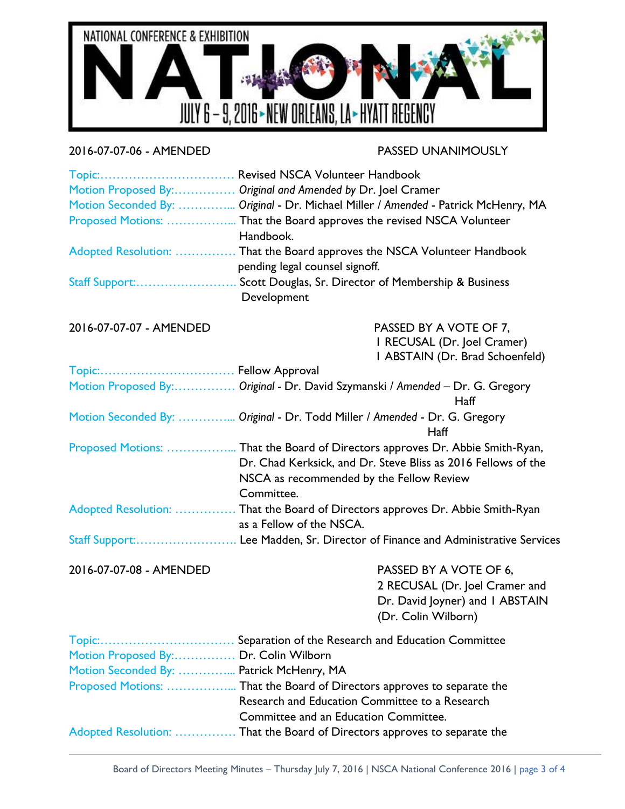

## 2016-07-07-06 - AMENDED PASSED UNANIMOUSLY

|                                          | Motion Proposed By: Original and Amended by Dr. Joel Cramer                                                |
|------------------------------------------|------------------------------------------------------------------------------------------------------------|
|                                          | Motion Seconded By:  Original - Dr. Michael Miller / Amended - Patrick McHenry, MA                         |
|                                          | Handbook.                                                                                                  |
|                                          | Adopted Resolution:  That the Board approves the NSCA Volunteer Handbook<br>pending legal counsel signoff. |
|                                          | Staff Support: Scott Douglas, Sr. Director of Membership & Business<br>Development                         |
| 2016-07-07-07 - AMENDED                  | PASSED BY A VOTE OF 7,<br>I RECUSAL (Dr. Joel Cramer)                                                      |
|                                          | I ABSTAIN (Dr. Brad Schoenfeld)                                                                            |
|                                          | Motion Proposed By: Original - Dr. David Szymanski / Amended - Dr. G. Gregory                              |
|                                          | Haff                                                                                                       |
|                                          | Motion Seconded By:  Original - Dr. Todd Miller / Amended - Dr. G. Gregory<br>Haff                         |
|                                          | Proposed Motions:  That the Board of Directors approves Dr. Abbie Smith-Ryan,                              |
|                                          | Dr. Chad Kerksick, and Dr. Steve Bliss as 2016 Fellows of the                                              |
|                                          | NSCA as recommended by the Fellow Review<br>Committee.                                                     |
|                                          | Adopted Resolution:  That the Board of Directors approves Dr. Abbie Smith-Ryan<br>as a Fellow of the NSCA. |
|                                          | Staff Support: Lee Madden, Sr. Director of Finance and Administrative Services                             |
| 2016-07-07-08 - AMENDED                  | PASSED BY A VOTE OF 6,                                                                                     |
|                                          | 2 RECUSAL (Dr. Joel Cramer and<br>Dr. David Joyner) and I ABSTAIN<br>(Dr. Colin Wilborn)                   |
|                                          |                                                                                                            |
| Motion Proposed By: Dr. Colin Wilborn    |                                                                                                            |
| Motion Seconded By:  Patrick McHenry, MA |                                                                                                            |
|                                          | Proposed Motions:  That the Board of Directors approves to separate the                                    |
|                                          | Research and Education Committee to a Research                                                             |
|                                          | Committee and an Education Committee.                                                                      |

Adopted Resolution: …………… That the Board of Directors approves to separate the